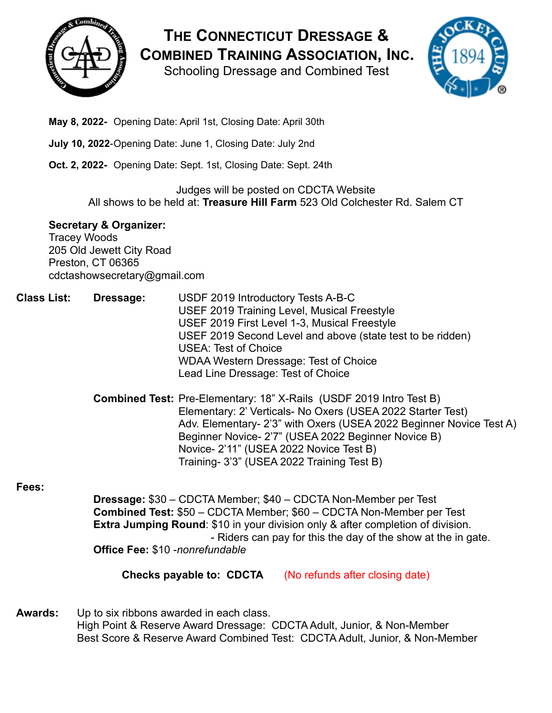

**THE CONNECTICUT DRESSAGE & COMBINED TRAINING ASSOCIATION, INC.**

Schooling Dressage and Combined Test



- **May 8, 2022-** Opening Date: April 1st, Closing Date: April 30th
- **July 10, 2022**-Opening Date: June 1, Closing Date: July 2nd
- **Oct. 2, 2022-** Opening Date: Sept. 1st, Closing Date: Sept. 24th

#### Judges will be posted on CDCTA Website All shows to be held at: **Treasure Hill Farm** 523 Old Colchester Rd. Salem CT

### **Secretary & Organizer:**

Tracey Woods 205 Old Jewett City Road Preston, CT 06365 cdctashowsecretary@gmail.com

- **Class List: Dressage:** USDF 2019 Introductory Tests A-B-C USEF 2019 Training Level, Musical Freestyle USEF 2019 First Level 1-3, Musical Freestyle USEF 2019 Second Level and above (state test to be ridden) USEA: Test of Choice WDAA Western Dressage: Test of Choice Lead Line Dressage: Test of Choice
	- **Combined Test:** Pre-Elementary: 18" X-Rails (USDF 2019 Intro Test B) Elementary: 2' Verticals- No Oxers (USEA 2022 Starter Test) Adv. Elementary- 2'3" with Oxers (USEA 2022 Beginner Novice Test A) Beginner Novice- 2'7" (USEA 2022 Beginner Novice B) Novice- 2'11" (USEA 2022 Novice Test B) Training- 3'3" (USEA 2022 Training Test B)

### **Fees:**

**Dressage:** \$30 – CDCTA Member; \$40 – CDCTA Non-Member per Test **Combined Test:** \$50 – CDCTA Member; \$60 – CDCTA Non-Member per Test **Extra Jumping Round**: \$10 in your division only & after completion of division. - Riders can pay for this the day of the show at the in gate. **Office Fee:** \$10 -*nonrefundable*

**Checks payable to: CDCTA** (No refunds after closing date)

**Awards:** Up to six ribbons awarded in each class. High Point & Reserve Award Dressage: CDCTA Adult, Junior, & Non-Member Best Score & Reserve Award Combined Test: CDCTA Adult, Junior, & Non-Member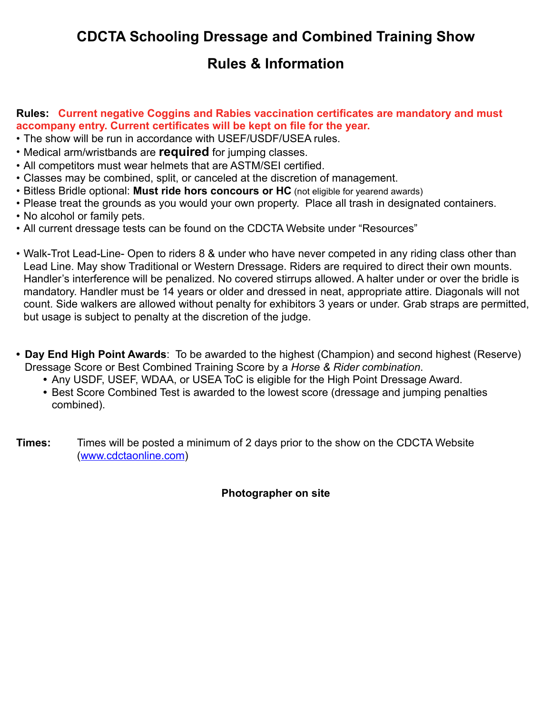## **CDCTA Schooling Dressage and Combined Training Show**

### **Rules & Information**

#### **Rules: Current negative Coggins and Rabies vaccination certificates are mandatory and must accompany entry. Current certificates will be kept on file for the year.**

- The show will be run in accordance with USEF/USDF/USEA rules.
- Medical arm/wristbands are **required** for jumping classes.
- All competitors must wear helmets that are ASTM/SEI certified.
- Classes may be combined, split, or canceled at the discretion of management.
- Bitless Bridle optional: **Must ride hors concours or HC** (not eligible for yearend awards)
- Please treat the grounds as you would your own property. Place all trash in designated containers.
- No alcohol or family pets.
- All current dressage tests can be found on the CDCTA Website under "Resources"
- Walk-Trot Lead-Line- Open to riders 8 & under who have never competed in any riding class other than Lead Line. May show Traditional or Western Dressage. Riders are required to direct their own mounts. Handler's interference will be penalized. No covered stirrups allowed. A halter under or over the bridle is mandatory. Handler must be 14 years or older and dressed in neat, appropriate attire. Diagonals will not count. Side walkers are allowed without penalty for exhibitors 3 years or under. Grab straps are permitted, but usage is subject to penalty at the discretion of the judge.
- **• Day End High Point Awards**: To be awarded to the highest (Champion) and second highest (Reserve) Dressage Score or Best Combined Training Score by a *Horse & Rider combination*.
	- **•** Any USDF, USEF, WDAA, or USEA ToC is eligible for the High Point Dressage Award.
	- **•** Best Score Combined Test is awarded to the lowest score (dressage and jumping penalties combined).
- **Times:** Times will be posted a minimum of 2 days prior to the show on the CDCTA Website ([www.cdctaonline.com\)](http://www.cdctaonline.com)

### **Photographer on site**